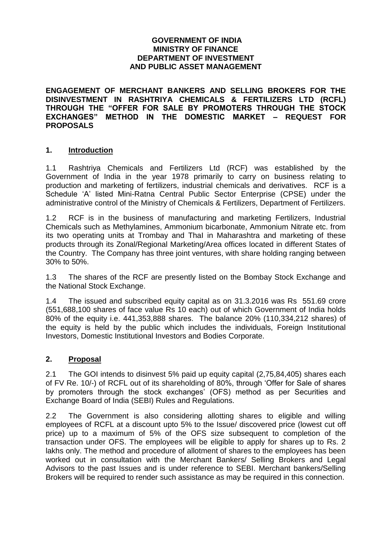## **GOVERNMENT OF INDIA MINISTRY OF FINANCE DEPARTMENT OF INVESTMENT AND PUBLIC ASSET MANAGEMENT**

**ENGAGEMENT OF MERCHANT BANKERS AND SELLING BROKERS FOR THE DISINVESTMENT IN RASHTRIYA CHEMICALS & FERTILIZERS LTD (RCFL) THROUGH THE "OFFER FOR SALE BY PROMOTERS THROUGH THE STOCK EXCHANGES" METHOD IN THE DOMESTIC MARKET – REQUEST FOR PROPOSALS**

## **1. Introduction**

1.1 Rashtriya Chemicals and Fertilizers Ltd (RCF) was established by the Government of India in the year 1978 primarily to carry on business relating to production and marketing of fertilizers, industrial chemicals and derivatives. RCF is a Schedule 'A' listed Mini-Ratna Central Public Sector Enterprise (CPSE) under the administrative control of the Ministry of Chemicals & Fertilizers, Department of Fertilizers.

1.2 RCF is in the business of manufacturing and marketing Fertilizers, Industrial Chemicals such as Methylamines, Ammonium bicarbonate, Ammonium Nitrate etc. from its two operating units at Trombay and ThaI in Maharashtra and marketing of these products through its Zonal/Regional Marketing/Area offices located in different States of the Country. The Company has three joint ventures, with share holding ranging between 30% to 50%.

1.3 The shares of the RCF are presently listed on the Bombay Stock Exchange and the National Stock Exchange.

1.4 The issued and subscribed equity capital as on 31.3.2016 was Rs 551.69 crore (551,688,100 shares of face value Rs 10 each) out of which Government of India holds 80% of the equity i.e. 441,353,888 shares. The balance 20% (110,334,212 shares) of the equity is held by the public which includes the individuals, Foreign Institutional Investors, Domestic Institutional Investors and Bodies Corporate.

# **2. Proposal**

2.1 The GOI intends to disinvest 5% paid up equity capital (2,75,84,405) shares each of FV Re. 10/-) of RCFL out of its shareholding of 80%, through 'Offer for Sale of shares by promoters through the stock exchanges' (OFS) method as per Securities and Exchange Board of India (SEBI) Rules and Regulations.

2.2 The Government is also considering allotting shares to eligible and willing employees of RCFL at a discount upto 5% to the Issue/ discovered price (lowest cut off price) up to a maximum of 5% of the OFS size subsequent to completion of the transaction under OFS. The employees will be eligible to apply for shares up to Rs. 2 lakhs only. The method and procedure of allotment of shares to the employees has been worked out in consultation with the Merchant Bankers/ Selling Brokers and Legal Advisors to the past Issues and is under reference to SEBI. Merchant bankers/Selling Brokers will be required to render such assistance as may be required in this connection.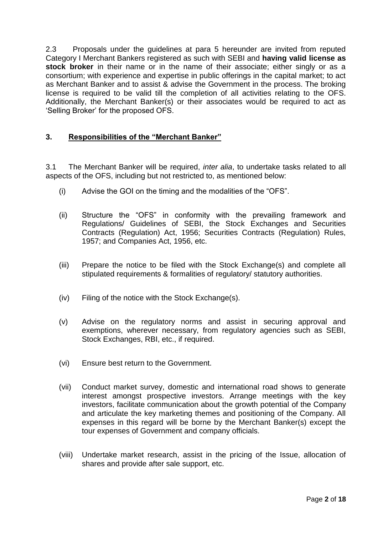2.3 Proposals under the guidelines at para 5 hereunder are invited from reputed Category I Merchant Bankers registered as such with SEBI and **having valid license as stock broker** in their name or in the name of their associate; either singly or as a consortium; with experience and expertise in public offerings in the capital market; to act as Merchant Banker and to assist & advise the Government in the process. The broking license is required to be valid till the completion of all activities relating to the OFS. Additionally, the Merchant Banker(s) or their associates would be required to act as 'Selling Broker' for the proposed OFS.

# **3. Responsibilities of the "Merchant Banker"**

3.1 The Merchant Banker will be required, *inter alia*, to undertake tasks related to all aspects of the OFS, including but not restricted to, as mentioned below:

- (i) Advise the GOI on the timing and the modalities of the "OFS".
- (ii) Structure the "OFS" in conformity with the prevailing framework and Regulations/ Guidelines of SEBI, the Stock Exchanges and Securities Contracts (Regulation) Act, 1956; Securities Contracts (Regulation) Rules, 1957; and Companies Act, 1956, etc.
- (iii) Prepare the notice to be filed with the Stock Exchange(s) and complete all stipulated requirements & formalities of regulatory/ statutory authorities.
- (iv) Filing of the notice with the Stock Exchange(s).
- (v) Advise on the regulatory norms and assist in securing approval and exemptions, wherever necessary, from regulatory agencies such as SEBI, Stock Exchanges, RBI, etc., if required.
- (vi) Ensure best return to the Government.
- (vii) Conduct market survey, domestic and international road shows to generate interest amongst prospective investors. Arrange meetings with the key investors, facilitate communication about the growth potential of the Company and articulate the key marketing themes and positioning of the Company. All expenses in this regard will be borne by the Merchant Banker(s) except the tour expenses of Government and company officials.
- (viii) Undertake market research, assist in the pricing of the Issue, allocation of shares and provide after sale support, etc.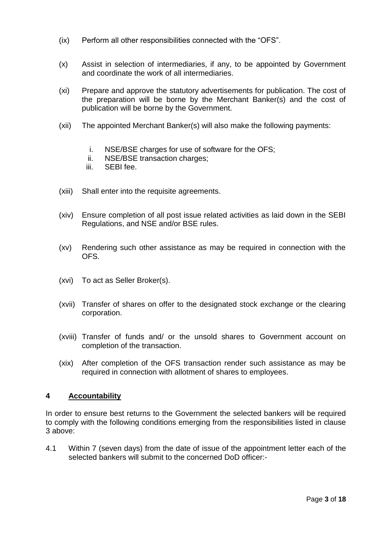- (ix) Perform all other responsibilities connected with the "OFS".
- (x) Assist in selection of intermediaries, if any, to be appointed by Government and coordinate the work of all intermediaries.
- (xi) Prepare and approve the statutory advertisements for publication. The cost of the preparation will be borne by the Merchant Banker(s) and the cost of publication will be borne by the Government.
- (xii) The appointed Merchant Banker(s) will also make the following payments:
	- i. NSE/BSE charges for use of software for the OFS;
	- ii. NSE/BSE transaction charges;
	- iii. SEBI fee.
- (xiii) Shall enter into the requisite agreements.
- (xiv) Ensure completion of all post issue related activities as laid down in the SEBI Regulations, and NSE and/or BSE rules.
- (xv) Rendering such other assistance as may be required in connection with the OFS.
- (xvi) To act as Seller Broker(s).
- (xvii) Transfer of shares on offer to the designated stock exchange or the clearing corporation.
- (xviii) Transfer of funds and/ or the unsold shares to Government account on completion of the transaction.
- (xix) After completion of the OFS transaction render such assistance as may be required in connection with allotment of shares to employees.

## **4 Accountability**

In order to ensure best returns to the Government the selected bankers will be required to comply with the following conditions emerging from the responsibilities listed in clause 3 above:

4.1 Within 7 (seven days) from the date of issue of the appointment letter each of the selected bankers will submit to the concerned DoD officer:-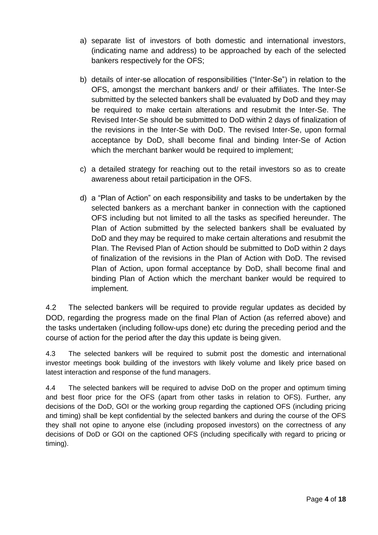- a) separate list of investors of both domestic and international investors, (indicating name and address) to be approached by each of the selected bankers respectively for the OFS;
- b) details of inter-se allocation of responsibilities ("Inter-Se") in relation to the OFS, amongst the merchant bankers and/ or their affiliates. The Inter-Se submitted by the selected bankers shall be evaluated by DoD and they may be required to make certain alterations and resubmit the Inter-Se. The Revised Inter-Se should be submitted to DoD within 2 days of finalization of the revisions in the Inter-Se with DoD. The revised Inter-Se, upon formal acceptance by DoD, shall become final and binding Inter-Se of Action which the merchant banker would be required to implement;
- c) a detailed strategy for reaching out to the retail investors so as to create awareness about retail participation in the OFS.
- d) a "Plan of Action" on each responsibility and tasks to be undertaken by the selected bankers as a merchant banker in connection with the captioned OFS including but not limited to all the tasks as specified hereunder. The Plan of Action submitted by the selected bankers shall be evaluated by DoD and they may be required to make certain alterations and resubmit the Plan. The Revised Plan of Action should be submitted to DoD within 2 days of finalization of the revisions in the Plan of Action with DoD. The revised Plan of Action, upon formal acceptance by DoD, shall become final and binding Plan of Action which the merchant banker would be required to implement.

4.2 The selected bankers will be required to provide regular updates as decided by DOD, regarding the progress made on the final Plan of Action (as referred above) and the tasks undertaken (including follow-ups done) etc during the preceding period and the course of action for the period after the day this update is being given.

4.3 The selected bankers will be required to submit post the domestic and international investor meetings book building of the investors with likely volume and likely price based on latest interaction and response of the fund managers.

4.4 The selected bankers will be required to advise DoD on the proper and optimum timing and best floor price for the OFS (apart from other tasks in relation to OFS). Further, any decisions of the DoD, GOI or the working group regarding the captioned OFS (including pricing and timing) shall be kept confidential by the selected bankers and during the course of the OFS they shall not opine to anyone else (including proposed investors) on the correctness of any decisions of DoD or GOI on the captioned OFS (including specifically with regard to pricing or timing).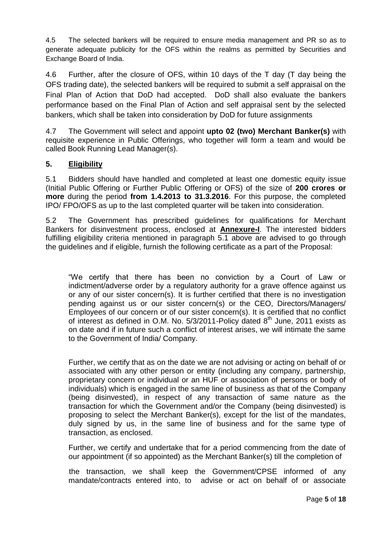4.5 The selected bankers will be required to ensure media management and PR so as to generate adequate publicity for the OFS within the realms as permitted by Securities and Exchange Board of India.

4.6 Further, after the closure of OFS, within 10 days of the T day (T day being the OFS trading date), the selected bankers will be required to submit a self appraisal on the Final Plan of Action that DoD had accepted. DoD shall also evaluate the bankers performance based on the Final Plan of Action and self appraisal sent by the selected bankers, which shall be taken into consideration by DoD for future assignments

4.7 The Government will select and appoint **upto 02 (two) Merchant Banker(s)** with requisite experience in Public Offerings, who together will form a team and would be called Book Running Lead Manager(s).

## **5. Eligibility**

5.1 Bidders should have handled and completed at least one domestic equity issue (Initial Public Offering or Further Public Offering or OFS) of the size of **200 crores or more** during the period **from 1.4.2013 to 31.3.2016**. For this purpose, the completed IPO/ FPO/OFS as up to the last completed quarter will be taken into consideration.

5.2 The Government has prescribed guidelines for qualifications for Merchant Bankers for disinvestment process, enclosed at **Annexure-I**. The interested bidders fulfilling eligibility criteria mentioned in paragraph 5.1 above are advised to go through the guidelines and if eligible, furnish the following certificate as a part of the Proposal:

"We certify that there has been no conviction by a Court of Law or indictment/adverse order by a regulatory authority for a grave offence against us or any of our sister concern(s). It is further certified that there is no investigation pending against us or our sister concern(s) or the CEO, Directors/Managers/ Employees of our concern or of our sister concern(s). It is certified that no conflict of interest as defined in O.M. No.  $5/3/2011$ -Policy dated  $8<sup>th</sup>$  June, 2011 exists as on date and if in future such a conflict of interest arises, we will intimate the same to the Government of India/ Company.

Further, we certify that as on the date we are not advising or acting on behalf of or associated with any other person or entity (including any company, partnership, proprietary concern or individual or an HUF or association of persons or body of individuals) which is engaged in the same line of business as that of the Company (being disinvested), in respect of any transaction of same nature as the transaction for which the Government and/or the Company (being disinvested) is proposing to select the Merchant Banker(s), except for the list of the mandates, duly signed by us, in the same line of business and for the same type of transaction, as enclosed.

Further, we certify and undertake that for a period commencing from the date of our appointment (if so appointed) as the Merchant Banker(s) till the completion of

 the transaction, we shall keep the Government/CPSE informed of any mandate/contracts entered into, to advise or act on behalf of or associate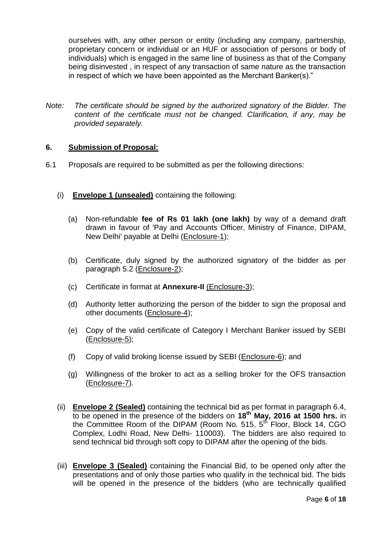ourselves with, any other person or entity (including any company, partnership, proprietary concern or individual or an HUF or association of persons or body of individuals) which is engaged in the same line of business as that of the Company being disinvested , in respect of any transaction of same nature as the transaction in respect of which we have been appointed as the Merchant Banker(s)."

*Note: The certificate should be signed by the authorized signatory of the Bidder. The content of the certificate must not be changed. Clarification, if any, may be provided separately.*

## **6. Submission of Proposal:**

- 6.1 Proposals are required to be submitted as per the following directions:
	- (i) **Envelope 1 (unsealed)** containing the following:
		- (a) Non-refundable **fee of Rs 01 lakh (one lakh)** by way of a demand draft drawn in favour of 'Pay and Accounts Officer, Ministry of Finance, DIPAM, New Delhi' payable at Delhi (Enclosure-1);
		- (b) Certificate, duly signed by the authorized signatory of the bidder as per paragraph 5.2 (Enclosure-2);
		- (c) Certificate in format at **Annexure-II** (Enclosure-3);
		- (d) Authority letter authorizing the person of the bidder to sign the proposal and other documents (Enclosure-4);
		- (e) Copy of the valid certificate of Category I Merchant Banker issued by SEBI (Enclosure-5);
		- (f) Copy of valid broking license issued by SEBI (Enclosure-6); and
		- (g) Willingness of the broker to act as a selling broker for the OFS transaction (Enclosure-7).
	- (ii) **Envelope 2 (Sealed)** containing the technical bid as per format in paragraph 6.4, to be opened in the presence of the bidders on **18th May, 2016 at 1500 hrs.** in the Committee Room of the DIPAM (Room No. 515, 5<sup>th</sup> Floor, Block 14, CGO Complex, Lodhi Road, New Delhi- 110003). The bidders are also required to send technical bid through soft copy to DIPAM after the opening of the bids.
	- (iii) **Envelope 3 (Sealed)** containing the Financial Bid, to be opened only after the presentations and of only those parties who qualify in the technical bid. The bids will be opened in the presence of the bidders (who are technically qualified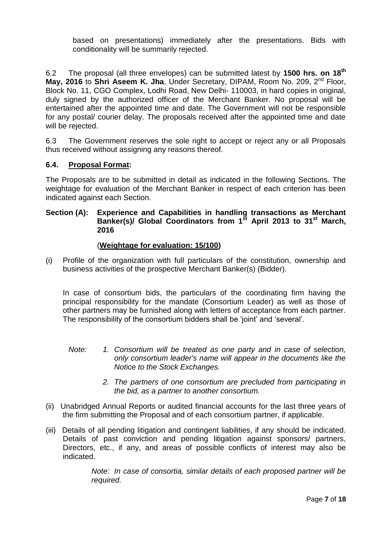based on presentations) immediately after the presentations. Bids with conditionality will be summarily rejected.

6.2 The proposal (all three envelopes) can be submitted latest by **1500 hrs. on 18th** May, 2016 to Shri Aseem K. Jha, Under Secretary, DIPAM, Room No. 209, 2<sup>nd</sup> Floor, Block No. 11, CGO Complex, Lodhi Road, New Delhi- 110003, in hard copies in original, duly signed by the authorized officer of the Merchant Banker. No proposal will be entertained after the appointed time and date. The Government will not be responsible for any postal/ courier delay. The proposals received after the appointed time and date will be rejected.

6.3 The Government reserves the sole right to accept or reject any or all Proposals thus received without assigning any reasons thereof.

## **6.4. Proposal Format:**

The Proposals are to be submitted in detail as indicated in the following Sections. The weightage for evaluation of the Merchant Banker in respect of each criterion has been indicated against each Section.

## **Section (A): Experience and Capabilities in handling transactions as Merchant Banker(s)/ Global Coordinators from 1st April 2013 to 31st March, 2016**

## (**Weightage for evaluation: 15/100)**

(i) Profile of the organization with full particulars of the constitution, ownership and business activities of the prospective Merchant Banker(s) (Bidder).

In case of consortium bids, the particulars of the coordinating firm having the principal responsibility for the mandate (Consortium Leader) as well as those of other partners may be furnished along with letters of acceptance from each partner. The responsibility of the consortium bidders shall be 'joint' and 'several'.

- *Note: 1. Consortium will be treated as one party and in case of selection, only consortium leader's name will appear in the documents like the Notice to the Stock Exchanges.*
	- *2. The partners of one consortium are precluded from participating in the bid, as a partner to another consortium.*
- (ii) Unabridged Annual Reports or audited financial accounts for the last three years of the firm submitting the Proposal and of each consortium partner, if applicable.
- (iii) Details of all pending litigation and contingent liabilities, if any should be indicated. Details of past conviction and pending litigation against sponsors/ partners, Directors, etc., if any, and areas of possible conflicts of interest may also be indicated.

*Note: In case of consortia, similar details of each proposed partner will be required.*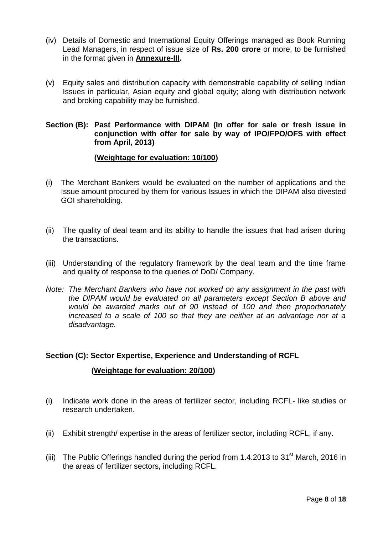- (iv) Details of Domestic and International Equity Offerings managed as Book Running Lead Managers, in respect of issue size of **Rs. 200 crore** or more, to be furnished in the format given in **Annexure-III.**
- (v) Equity sales and distribution capacity with demonstrable capability of selling Indian Issues in particular, Asian equity and global equity; along with distribution network and broking capability may be furnished.

## **Section (B): Past Performance with DIPAM (In offer for sale or fresh issue in conjunction with offer for sale by way of IPO/FPO/OFS with effect from April, 2013)**

### **(Weightage for evaluation: 10/100)**

- (i) The Merchant Bankers would be evaluated on the number of applications and the Issue amount procured by them for various Issues in which the DIPAM also divested GOI shareholding.
- (ii) The quality of deal team and its ability to handle the issues that had arisen during the transactions.
- (iii) Understanding of the regulatory framework by the deal team and the time frame and quality of response to the queries of DoD/ Company.
- *Note: The Merchant Bankers who have not worked on any assignment in the past with the DIPAM would be evaluated on all parameters except Section B above and would be awarded marks out of 90 instead of 100 and then proportionately*  increased to a scale of 100 so that they are neither at an advantage nor at a *disadvantage.*

## **Section (C): Sector Expertise, Experience and Understanding of RCFL**

### **(Weightage for evaluation: 20/100)**

- (i) Indicate work done in the areas of fertilizer sector, including RCFL- like studies or research undertaken.
- (ii) Exhibit strength/ expertise in the areas of fertilizer sector, including RCFL, if any.
- (iii) The Public Offerings handled during the period from 1.4.2013 to 31<sup>st</sup> March, 2016 in the areas of fertilizer sectors, including RCFL.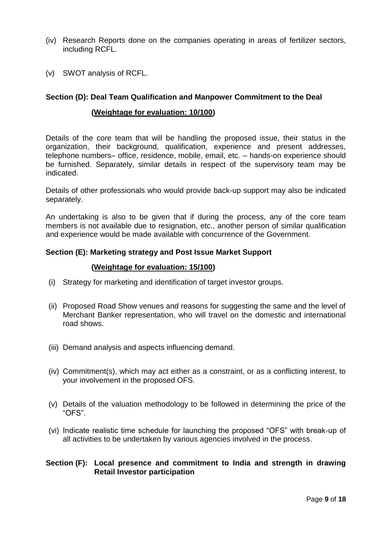- (iv) Research Reports done on the companies operating in areas of fertilizer sectors, including RCFL.
- (v) SWOT analysis of RCFL.

### **Section (D): Deal Team Qualification and Manpower Commitment to the Deal**

### **(Weightage for evaluation: 10/100)**

Details of the core team that will be handling the proposed issue, their status in the organization, their background, qualification, experience and present addresses, telephone numbers– office, residence, mobile, email, etc. – hands-on experience should be furnished. Separately, similar details in respect of the supervisory team may be indicated.

Details of other professionals who would provide back-up support may also be indicated separately.

An undertaking is also to be given that if during the process, any of the core team members is not available due to resignation, etc., another person of similar qualification and experience would be made available with concurrence of the Government.

### **Section (E): Marketing strategy and Post Issue Market Support**

#### **(Weightage for evaluation: 15/100)**

- (i) Strategy for marketing and identification of target investor groups.
- (ii) Proposed Road Show venues and reasons for suggesting the same and the level of Merchant Banker representation, who will travel on the domestic and international road shows.
- (iii) Demand analysis and aspects influencing demand.
- (iv) Commitment(s), which may act either as a constraint, or as a conflicting interest, to your involvement in the proposed OFS.
- (v) Details of the valuation methodology to be followed in determining the price of the "OFS".
- (vi) Indicate realistic time schedule for launching the proposed "OFS" with break-up of all activities to be undertaken by various agencies involved in the process.

### **Section (F): Local presence and commitment to India and strength in drawing Retail Investor participation**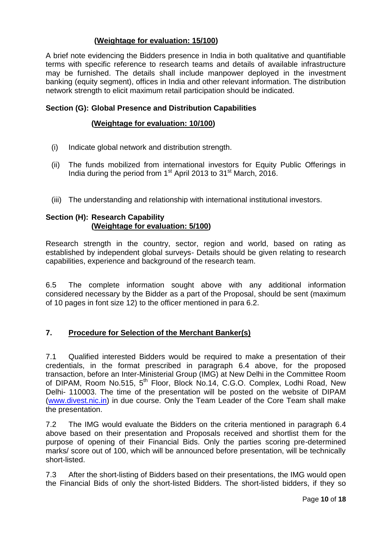# **(Weightage for evaluation: 15/100)**

A brief note evidencing the Bidders presence in India in both qualitative and quantifiable terms with specific reference to research teams and details of available infrastructure may be furnished. The details shall include manpower deployed in the investment banking (equity segment), offices in India and other relevant information. The distribution network strength to elicit maximum retail participation should be indicated.

## **Section (G): Global Presence and Distribution Capabilities**

## **(Weightage for evaluation: 10/100)**

- (i) Indicate global network and distribution strength.
- (ii) The funds mobilized from international investors for Equity Public Offerings in India during the period from 1<sup>st</sup> April 2013 to 31<sup>st</sup> March, 2016.
- (iii) The understanding and relationship with international institutional investors.

## **Section (H): Research Capability (Weightage for evaluation: 5/100)**

Research strength in the country, sector, region and world, based on rating as established by independent global surveys- Details should be given relating to research capabilities, experience and background of the research team.

6.5 The complete information sought above with any additional information considered necessary by the Bidder as a part of the Proposal, should be sent (maximum of 10 pages in font size 12) to the officer mentioned in para 6.2.

# **7. Procedure for Selection of the Merchant Banker(s)**

7.1 Qualified interested Bidders would be required to make a presentation of their credentials, in the format prescribed in paragraph 6.4 above, for the proposed transaction, before an Inter-Ministerial Group (IMG) at New Delhi in the Committee Room of DIPAM, Room No.515, 5<sup>th</sup> Floor, Block No.14, C.G.O. Complex, Lodhi Road, New Delhi- 110003. The time of the presentation will be posted on the website of DIPAM [\(www.divest.nic.in\)](http://www.divest.nic.in/) in due course. Only the Team Leader of the Core Team shall make the presentation.

7.2 The IMG would evaluate the Bidders on the criteria mentioned in paragraph 6.4 above based on their presentation and Proposals received and shortlist them for the purpose of opening of their Financial Bids. Only the parties scoring pre-determined marks/ score out of 100, which will be announced before presentation, will be technically short-listed.

7.3 After the short-listing of Bidders based on their presentations, the IMG would open the Financial Bids of only the short-listed Bidders. The short-listed bidders, if they so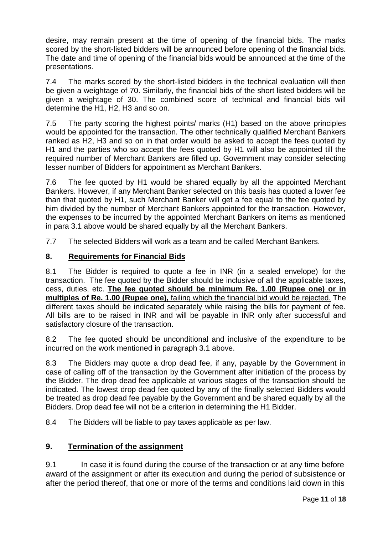desire, may remain present at the time of opening of the financial bids. The marks scored by the short-listed bidders will be announced before opening of the financial bids. The date and time of opening of the financial bids would be announced at the time of the presentations.

7.4 The marks scored by the short-listed bidders in the technical evaluation will then be given a weightage of 70. Similarly, the financial bids of the short listed bidders will be given a weightage of 30. The combined score of technical and financial bids will determine the H1, H2, H3 and so on.

7.5 The party scoring the highest points/ marks (H1) based on the above principles would be appointed for the transaction. The other technically qualified Merchant Bankers ranked as H2, H3 and so on in that order would be asked to accept the fees quoted by H1 and the parties who so accept the fees quoted by H1 will also be appointed till the required number of Merchant Bankers are filled up. Government may consider selecting lesser number of Bidders for appointment as Merchant Bankers.

7.6 The fee quoted by H1 would be shared equally by all the appointed Merchant Bankers. However, if any Merchant Banker selected on this basis has quoted a lower fee than that quoted by H1, such Merchant Banker will get a fee equal to the fee quoted by him divided by the number of Merchant Bankers appointed for the transaction. However, the expenses to be incurred by the appointed Merchant Bankers on items as mentioned in para 3.1 above would be shared equally by all the Merchant Bankers.

7.7 The selected Bidders will work as a team and be called Merchant Bankers.

## **8. Requirements for Financial Bids**

8.1 The Bidder is required to quote a fee in INR (in a sealed envelope) for the transaction. The fee quoted by the Bidder should be inclusive of all the applicable taxes, cess, duties, etc. **The fee quoted should be minimum Re. 1.00 (Rupee one) or in multiples of Re. 1.00 (Rupee one),** failing which the financial bid would be rejected. The different taxes should be indicated separately while raising the bills for payment of fee. All bills are to be raised in INR and will be payable in INR only after successful and satisfactory closure of the transaction.

8.2 The fee quoted should be unconditional and inclusive of the expenditure to be incurred on the work mentioned in paragraph 3.1 above.

8.3 The Bidders may quote a drop dead fee, if any, payable by the Government in case of calling off of the transaction by the Government after initiation of the process by the Bidder. The drop dead fee applicable at various stages of the transaction should be indicated. The lowest drop dead fee quoted by any of the finally selected Bidders would be treated as drop dead fee payable by the Government and be shared equally by all the Bidders. Drop dead fee will not be a criterion in determining the H1 Bidder.

8.4 The Bidders will be liable to pay taxes applicable as per law.

# **9. Termination of the assignment**

9.1 In case it is found during the course of the transaction or at any time before award of the assignment or after its execution and during the period of subsistence or after the period thereof, that one or more of the terms and conditions laid down in this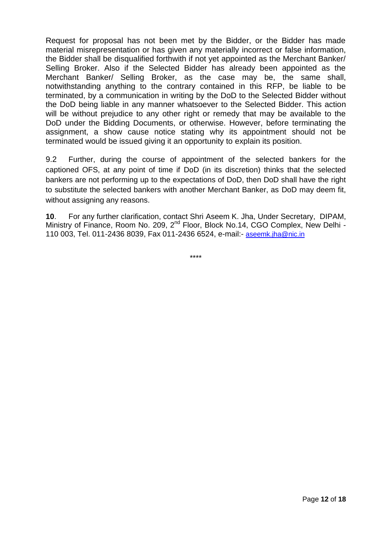Request for proposal has not been met by the Bidder, or the Bidder has made material misrepresentation or has given any materially incorrect or false information, the Bidder shall be disqualified forthwith if not yet appointed as the Merchant Banker/ Selling Broker. Also if the Selected Bidder has already been appointed as the Merchant Banker/ Selling Broker, as the case may be, the same shall, notwithstanding anything to the contrary contained in this RFP, be liable to be terminated, by a communication in writing by the DoD to the Selected Bidder without the DoD being liable in any manner whatsoever to the Selected Bidder. This action will be without prejudice to any other right or remedy that may be available to the DoD under the Bidding Documents, or otherwise. However, before terminating the assignment, a show cause notice stating why its appointment should not be terminated would be issued giving it an opportunity to explain its position.

9.2 Further, during the course of appointment of the selected bankers for the captioned OFS, at any point of time if DoD (in its discretion) thinks that the selected bankers are not performing up to the expectations of DoD, then DoD shall have the right to substitute the selected bankers with another Merchant Banker, as DoD may deem fit, without assigning any reasons.

**10**. For any further clarification, contact Shri Aseem K. Jha, Under Secretary, DIPAM, Ministry of Finance, Room No. 209, 2<sup>nd</sup> Floor, Block No.14, CGO Complex, New Delhi -110 003, Tel. 011-2436 8039, Fax 011-2436 6524, e-mail:- [aseemk.jha@nic.in](mailto:aseemk.jha@nic.in)

\*\*\*\*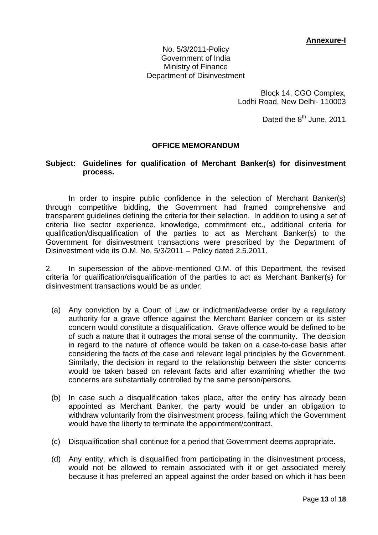No. 5/3/2011-Policy Government of India Ministry of Finance Department of Disinvestment

> Block 14, CGO Complex, Lodhi Road, New Delhi- 110003

> > Dated the 8<sup>th</sup> June, 2011

## **OFFICE MEMORANDUM**

### **Subject: Guidelines for qualification of Merchant Banker(s) for disinvestment process.**

In order to inspire public confidence in the selection of Merchant Banker(s) through competitive bidding, the Government had framed comprehensive and transparent guidelines defining the criteria for their selection. In addition to using a set of criteria like sector experience, knowledge, commitment etc., additional criteria for qualification/disqualification of the parties to act as Merchant Banker(s) to the Government for disinvestment transactions were prescribed by the Department of Disinvestment vide its O.M. No. 5/3/2011 – Policy dated 2.5.2011.

2. In supersession of the above-mentioned O.M. of this Department, the revised criteria for qualification/disqualification of the parties to act as Merchant Banker(s) for disinvestment transactions would be as under:

- (a) Any conviction by a Court of Law or indictment/adverse order by a regulatory authority for a grave offence against the Merchant Banker concern or its sister concern would constitute a disqualification. Grave offence would be defined to be of such a nature that it outrages the moral sense of the community. The decision in regard to the nature of offence would be taken on a case-to-case basis after considering the facts of the case and relevant legal principles by the Government. Similarly, the decision in regard to the relationship between the sister concerns would be taken based on relevant facts and after examining whether the two concerns are substantially controlled by the same person/persons.
- (b) In case such a disqualification takes place, after the entity has already been appointed as Merchant Banker, the party would be under an obligation to withdraw voluntarily from the disinvestment process, failing which the Government would have the liberty to terminate the appointment/contract.
- (c) Disqualification shall continue for a period that Government deems appropriate.
- (d) Any entity, which is disqualified from participating in the disinvestment process, would not be allowed to remain associated with it or get associated merely because it has preferred an appeal against the order based on which it has been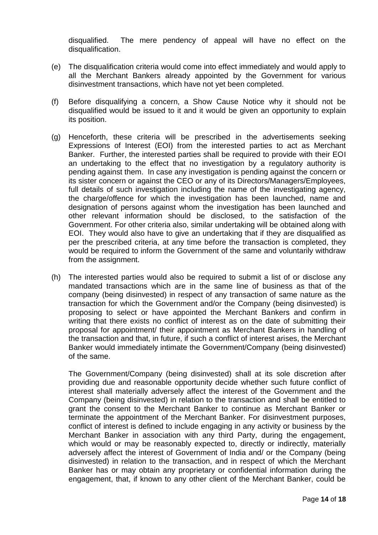disqualified. The mere pendency of appeal will have no effect on the disqualification.

- (e) The disqualification criteria would come into effect immediately and would apply to all the Merchant Bankers already appointed by the Government for various disinvestment transactions, which have not yet been completed.
- (f) Before disqualifying a concern, a Show Cause Notice why it should not be disqualified would be issued to it and it would be given an opportunity to explain its position.
- (g) Henceforth, these criteria will be prescribed in the advertisements seeking Expressions of Interest (EOI) from the interested parties to act as Merchant Banker. Further, the interested parties shall be required to provide with their EOI an undertaking to the effect that no investigation by a regulatory authority is pending against them. In case any investigation is pending against the concern or its sister concern or against the CEO or any of its Directors/Managers/Employees, full details of such investigation including the name of the investigating agency, the charge/offence for which the investigation has been launched, name and designation of persons against whom the investigation has been launched and other relevant information should be disclosed, to the satisfaction of the Government. For other criteria also, similar undertaking will be obtained along with EOI. They would also have to give an undertaking that if they are disqualified as per the prescribed criteria, at any time before the transaction is completed, they would be required to inform the Government of the same and voluntarily withdraw from the assignment.
- (h) The interested parties would also be required to submit a list of or disclose any mandated transactions which are in the same line of business as that of the company (being disinvested) in respect of any transaction of same nature as the transaction for which the Government and/or the Company (being disinvested) is proposing to select or have appointed the Merchant Bankers and confirm in writing that there exists no conflict of interest as on the date of submitting their proposal for appointment/ their appointment as Merchant Bankers in handling of the transaction and that, in future, if such a conflict of interest arises, the Merchant Banker would immediately intimate the Government/Company (being disinvested) of the same.

The Government/Company (being disinvested) shall at its sole discretion after providing due and reasonable opportunity decide whether such future conflict of interest shall materially adversely affect the interest of the Government and the Company (being disinvested) in relation to the transaction and shall be entitled to grant the consent to the Merchant Banker to continue as Merchant Banker or terminate the appointment of the Merchant Banker. For disinvestment purposes, conflict of interest is defined to include engaging in any activity or business by the Merchant Banker in association with any third Party, during the engagement, which would or may be reasonably expected to, directly or indirectly, materially adversely affect the interest of Government of India and/ or the Company (being disinvested) in relation to the transaction, and in respect of which the Merchant Banker has or may obtain any proprietary or confidential information during the engagement, that, if known to any other client of the Merchant Banker, could be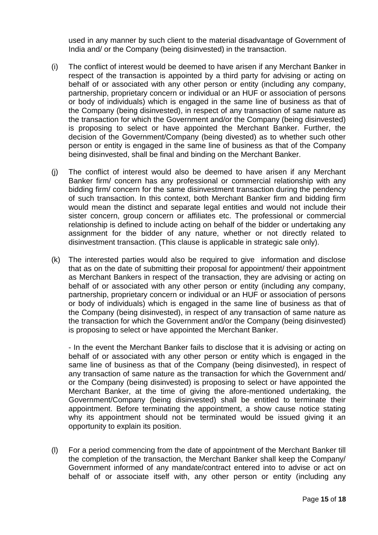used in any manner by such client to the material disadvantage of Government of India and/ or the Company (being disinvested) in the transaction.

- (i) The conflict of interest would be deemed to have arisen if any Merchant Banker in respect of the transaction is appointed by a third party for advising or acting on behalf of or associated with any other person or entity (including any company, partnership, proprietary concern or individual or an HUF or association of persons or body of individuals) which is engaged in the same line of business as that of the Company (being disinvested), in respect of any transaction of same nature as the transaction for which the Government and/or the Company (being disinvested) is proposing to select or have appointed the Merchant Banker. Further, the decision of the Government/Company (being divested) as to whether such other person or entity is engaged in the same line of business as that of the Company being disinvested, shall be final and binding on the Merchant Banker.
- (j) The conflict of interest would also be deemed to have arisen if any Merchant Banker firm/ concern has any professional or commercial relationship with any bidding firm/ concern for the same disinvestment transaction during the pendency of such transaction. In this context, both Merchant Banker firm and bidding firm would mean the distinct and separate legal entities and would not include their sister concern, group concern or affiliates etc. The professional or commercial relationship is defined to include acting on behalf of the bidder or undertaking any assignment for the bidder of any nature, whether or not directly related to disinvestment transaction. (This clause is applicable in strategic sale only).
- (k) The interested parties would also be required to give information and disclose that as on the date of submitting their proposal for appointment/ their appointment as Merchant Bankers in respect of the transaction, they are advising or acting on behalf of or associated with any other person or entity (including any company, partnership, proprietary concern or individual or an HUF or association of persons or body of individuals) which is engaged in the same line of business as that of the Company (being disinvested), in respect of any transaction of same nature as the transaction for which the Government and/or the Company (being disinvested) is proposing to select or have appointed the Merchant Banker.

- In the event the Merchant Banker fails to disclose that it is advising or acting on behalf of or associated with any other person or entity which is engaged in the same line of business as that of the Company (being disinvested), in respect of any transaction of same nature as the transaction for which the Government and/ or the Company (being disinvested) is proposing to select or have appointed the Merchant Banker, at the time of giving the afore-mentioned undertaking, the Government/Company (being disinvested) shall be entitled to terminate their appointment. Before terminating the appointment, a show cause notice stating why its appointment should not be terminated would be issued giving it an opportunity to explain its position.

(l) For a period commencing from the date of appointment of the Merchant Banker till the completion of the transaction, the Merchant Banker shall keep the Company/ Government informed of any mandate/contract entered into to advise or act on behalf of or associate itself with, any other person or entity (including any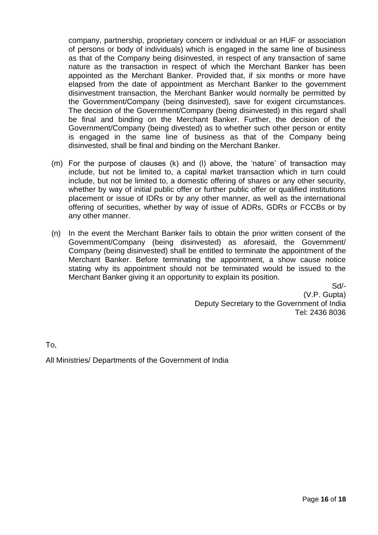company, partnership, proprietary concern or individual or an HUF or association of persons or body of individuals) which is engaged in the same line of business as that of the Company being disinvested, in respect of any transaction of same nature as the transaction in respect of which the Merchant Banker has been appointed as the Merchant Banker. Provided that, if six months or more have elapsed from the date of appointment as Merchant Banker to the government disinvestment transaction, the Merchant Banker would normally be permitted by the Government/Company (being disinvested), save for exigent circumstances. The decision of the Government/Company (being disinvested) in this regard shall be final and binding on the Merchant Banker. Further, the decision of the Government/Company (being divested) as to whether such other person or entity is engaged in the same line of business as that of the Company being disinvested, shall be final and binding on the Merchant Banker.

- (m) For the purpose of clauses (k) and (l) above, the 'nature' of transaction may include, but not be limited to, a capital market transaction which in turn could include, but not be limited to, a domestic offering of shares or any other security, whether by way of initial public offer or further public offer or qualified institutions placement or issue of IDRs or by any other manner, as well as the international offering of securities, whether by way of issue of ADRs, GDRs or FCCBs or by any other manner.
- (n) In the event the Merchant Banker fails to obtain the prior written consent of the Government/Company (being disinvested) as aforesaid, the Government/ Company (being disinvested) shall be entitled to terminate the appointment of the Merchant Banker. Before terminating the appointment, a show cause notice stating why its appointment should not be terminated would be issued to the Merchant Banker giving it an opportunity to explain its position.

Sd/- (V.P. Gupta) Deputy Secretary to the Government of India Tel: 2436 8036

To,

All Ministries/ Departments of the Government of India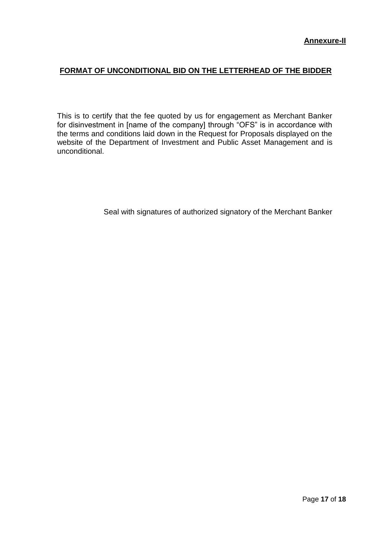# **FORMAT OF UNCONDITIONAL BID ON THE LETTERHEAD OF THE BIDDER**

This is to certify that the fee quoted by us for engagement as Merchant Banker for disinvestment in [name of the company] through "OFS" is in accordance with the terms and conditions laid down in the Request for Proposals displayed on the website of the Department of Investment and Public Asset Management and is unconditional.

Seal with signatures of authorized signatory of the Merchant Banker